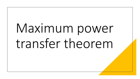# Maximum power transfer theorem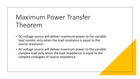# Maximum Power Transfer Theorem

- DC voltage source will deliver maximum power to the variable load resistor only when the load resistance is equal to the source resistance.
- AC voltage source will deliver maximum power to the variable complex load only when the load impedance is equal to the complex conjugate of source impedance.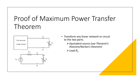# Proof of Maximum Power Transfer Theorem



- Transform any linear network or circuit to the *two parts.*
	- ➢*Equivalent source (use Thevenin's theorem/Norton's theorem)*

 $\blacktriangleright$  *Load*  $R_L$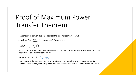## Proof of Maximum Power Transfer Theorem

- The amount of power dissipated across the load resistor is $P_L = I^2 R_L$
- Substitute  $I = \frac{V_{TH}}{R}$  $R_{TH}$ + $R_L$ (from thevenin's theorem)
- Then  $P_L = \left(\frac{V_{TH}}{R_{T} + V}\right)$  $R_{TH}$ + $R_L$ 2  $R_L$
- For maximum or minimum, first derivative will be zero. So, differentiate above equation with respect to *R<sup>L</sup>* and make it equal to zero.
- We get a condition that  $R_{L=1}R_{TH}$
- That means, if the value of load resistance is equal to the value of source resistance. i.e., Thevenin's resistance, then the power dissipated across the load will be of maximum value.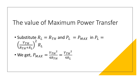## The value of Maximum Power Transfer

• Substitute  $R_L = R_{TH}$  and  $P_L = P_{MAX}$  in  $P_L =$  $V_{TH}$  $R_{TH}$ + $R_L$ 2  $R_L$ 

• We get, 
$$
P_{MAX} = \frac{V_{TH}^2}{4R_{TH}} = \frac{V_{TH}^2}{4R_L}
$$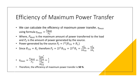## Efficiency of Maximum Power Transfer

- We can calculate the efficiency of maximum power transfer,  $\eta_{max}$ using formula  $\eta_{max} = \frac{P_{MAX}}{P_{max}}$  $P_{\mathcal{S}}$
- Where,  $P_{MAX}$  is the maximum amount of power transferred to the load and  $P_S$  is the amount of power generated by the source.
- Power generated by the source  $P_S = I^2(R_{TH} + R_L)$

• Since 
$$
R_{TH} = R_L
$$
 therefore  $P_S = 2I^2 R_{TH} = 2I^2 R_L = \frac{V_{TH}^2}{2R_{TH}} = \frac{V_{TH}^2}{2R_L}$ 

• 
$$
\eta_{max} = \frac{P_{MAX}}{P_S} = \frac{\frac{V_{TH}^2}{4R_{TH}}}{\frac{V_{TH}^2}{2R_{TH}}} = \frac{1}{2}
$$

• Therefore, the efficiency of maximum power transfer is **50 %**.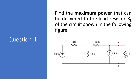#### Question-1

Find the **maximum power** that can be delivered to the load resistor  $R_1$ of the circuit shown in the following figure

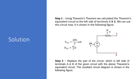### Solution

**Step 1** − Using Thevenin's Theorem we calculated the Thevenin's equivalent circuit to the left side of terminals A & B. We can use this circuit now. It is shown in the following figure.



**Step 2** − Replace the part of the circuit, which is left side of terminals A & B of the given circuit with the above Thevenin's equivalent circuit. The resultant circuit diagram is shown in the following figure.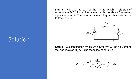Solution

**Step 2** − Replace the part of the circuit, which is left side of terminals A & B of the given circuit with the above Thevenin's equivalent circuit. The resultant circuit diagram is shown in the following figure.



**Step 3** − We can find the maximum power that will be delivered to the load resistor,  $R_1$  by using the following formula

$$
P_{MAX} = \frac{{V_{TH}}^2}{4R_{TH}} = \frac{(\frac{200}{3})^2}{4 \times \frac{40}{3}} = \frac{250}{3}watts
$$